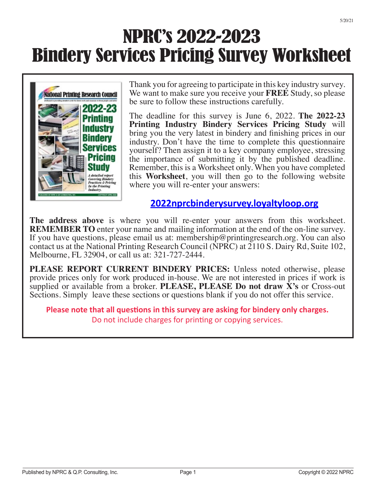# NPRC's 2022-2023 Bindery Services Pricing Survey Worksheet



Thank you for agreeing to participate in this key industry survey. We want to make sure you receive your **FREE** Study, so please be sure to follow these instructions carefully.

The deadline for this survey is June 6, 2022. **The 2022-23 Printing Industry Bindery Services Pricing Study** will bring you the very latest in bindery and finishing prices in our industry. Don't have the time to complete this questionnaire yourself? Then assign it to a key company employee, stressing the importance of submitting it by the published deadline. Remember, this is a Worksheet only. When you have completed this **Worksheet**, you will then go to the following website where you will re-enter your answers:

### **2022nprcbinderysurvey.loyaltyloop.org**

**The address above** is where you will re-enter your answers from this worksheet. **REMEMBER TO** enter your name and mailing information at the end of the on-line survey. If you have questions, please email us at: membership@printingresearch.org. You can also contact us at the National Printing Research Council (NPRC) at 2110 S. Dairy Rd, Suite 102, Melbourne, FL 32904, or call us at: 321-727-2444.

**PLEASE REPORT CURRENT BINDERY PRICES:** Unless noted otherwise, please provide prices only for work produced in-house. We are not interested in prices if work is supplied or available from a broker. **PLEASE, PLEASE Do not draw X's** or Cross-out Sections. Simply leave these sections or questions blank if you do not offer this service.

**Please note that all questions in this survey are asking for bindery only charges.** Do not include charges for printing or copying services.

5/20/21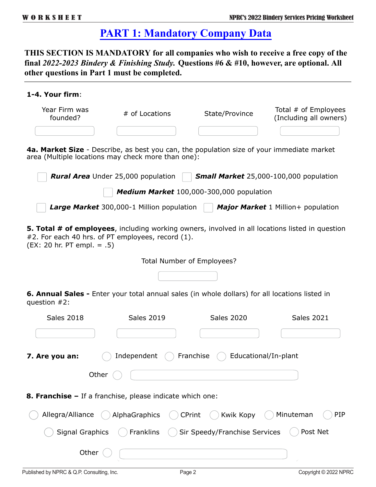### **PART 1: Mandatory Company Data**

**THIS SECTION IS MANDATORY for all companies who wish to receive a free copy of the final** *2022-2023 Bindery & Finishing Study.* **Questions #6 & #10, however, are optional. All other questions in Part 1 must be completed.**

## **1-4. Your firm**: Year Firm was founded? # of Locations State/Province Total # of Employees (Including all owners) **4a. Market Size** - Describe, as best you can, the population size of your immediate market area (Multiple locations may check more than one): *Rural Area* Under 25,000 population *Small Market* 25,000-100,000 population *Medium Market* 100,000-300,000 population *Large Market* 300,000-1 Million population *Major Market* 1 Million+ population **5. Total # of employees**, including working owners, involved in all locations listed in question #2. For each 40 hrs. of PT employees, record (1). (EX: 20 hr. PT empl. = .5) Total Number of Employees?

**6. Annual Sales -** Enter your total annual sales (in whole dollars) for all locations listed in question #2:

| <b>Sales 2018</b>                                                | <b>Sales 2019</b> |               | <b>Sales 2020</b>             |                      | <b>Sales 2021</b>     |
|------------------------------------------------------------------|-------------------|---------------|-------------------------------|----------------------|-----------------------|
|                                                                  |                   |               |                               |                      |                       |
| 7. Are you an:                                                   | Independent       | Franchise     |                               | Educational/In-plant |                       |
| Other                                                            |                   |               |                               |                      |                       |
| <b>8. Franchise –</b> If a franchise, please indicate which one: |                   |               |                               |                      |                       |
| Allegra/Alliance                                                 | AlphaGraphics     | <b>CPrint</b> | Kwik Kopy                     | Minuteman            | PIP                   |
| <b>Signal Graphics</b>                                           | Franklins         |               | Sir Speedy/Franchise Services |                      | Post Net              |
| Other                                                            |                   |               |                               |                      |                       |
| Published by NPRC & Q.P. Consulting, Inc.                        |                   | Page 2        |                               |                      | Copyright © 2022 NPRC |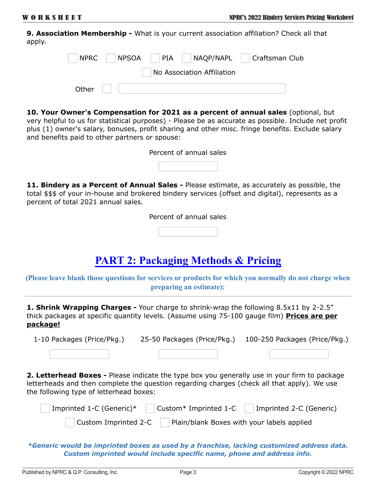**9. Association Membership -** What is your current association affiliation? Check all that apply.

| NPRC NPSOA PIA NAQP/NAPL Craftsman Club |                            |  |
|-----------------------------------------|----------------------------|--|
|                                         | No Association Affiliation |  |
| Other $ $                               |                            |  |

**10. Your Owner's Compensation for 2021 as a percent of annual sales** (optional, but very helpful to us for statistical purposes) - Please be as accurate as possible. Include net profit plus (1) owner's salary, bonuses, profit sharing and other misc. fringe benefits. Exclude salary

and benefits paid to other partners or spouse:

|  | Percent of annual sales |
|--|-------------------------|
|--|-------------------------|

**11. Bindery as a Percent of Annual Sales -** Please estimate, as accurately as possible, the total \$\$\$ of your in-house and brokered bindery services (offset and digital), represents as a percent of total 2021 annual sales.

Percent of annual sales

### **PART 2: Packaging Methods & Pricing**

**(Please leave blank those questions for services or products for which you normally do not charge when preparing an estimate):**

**1. Shrink Wrapping Charges -** Your charge to shrink-wrap the following 8.5x11 by 2-2.5" thick packages at specific quantity levels. (Assume using 75-100 gauge film) **Prices are per package!**

1-10 Packages (Price/Pkg.) 25-50 Packages (Price/Pkg.) 100-250 Packages (Price/Pkg.)

**2. Letterhead Boxes -** Please indicate the type box you generally use in your firm to package letterheads and then complete the question regarding charges (check all that apply). We use the following type of letterhead boxes:

| Imprinted 1-C (Generic)*     |                                            | Custom* Imprinted 1-C     Imprinted 2-C (Generic) |
|------------------------------|--------------------------------------------|---------------------------------------------------|
| $\vert$ Custom Imprinted 2-C | Plain/blank Boxes with your labels applied |                                                   |

*\*Generic would be imprinted boxes as used by a franchise, lacking customized address data. Custom imprinted would include specific name, phone and address info.*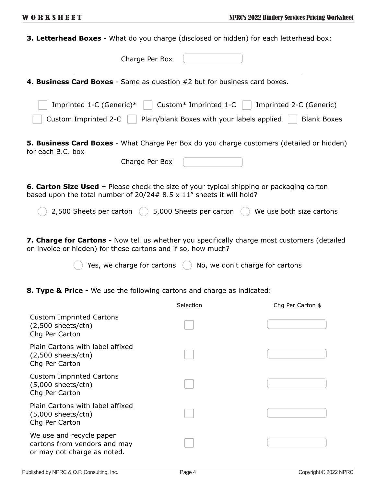| <b>3. Letterhead Boxes</b> - What do you charge (disclosed or hidden) for each letterhead box:                                                                                    |
|-----------------------------------------------------------------------------------------------------------------------------------------------------------------------------------|
| Charge Per Box                                                                                                                                                                    |
| 4. Business Card Boxes - Same as question #2 but for business card boxes.                                                                                                         |
| Imprinted 1-C (Generic)*<br>Custom* Imprinted 1-C<br>Imprinted 2-C (Generic)                                                                                                      |
| Custom Imprinted 2-C<br>Plain/blank Boxes with your labels applied<br><b>Blank Boxes</b>                                                                                          |
| 5. Business Card Boxes - What Charge Per Box do you charge customers (detailed or hidden)<br>for each B.C. box                                                                    |
| Charge Per Box                                                                                                                                                                    |
| <b>6. Carton Size Used -</b> Please check the size of your typical shipping or packaging carton<br>based upon the total number of $20/24 \# 8.5 \times 11$ " sheets it will hold? |
| 2,500 Sheets per carton<br>5,000 Sheets per carton<br>We use both size cartons                                                                                                    |
| 7. Charge for Cartons - Now tell us whether you specifically charge most customers (detailed<br>on invoice or hidden) for these cartons and if so, how much?                      |
| Yes, we charge for cartons<br>No, we don't charge for cartons                                                                                                                     |
| <b>8. Type &amp; Price -</b> We use the following cartons and charge as indicated:                                                                                                |
|                                                                                                                                                                                   |

|                                                                                         | Selection | Chg Per Carton \$ |
|-----------------------------------------------------------------------------------------|-----------|-------------------|
| <b>Custom Imprinted Cartons</b><br>$(2,500$ sheets/ctn)<br>Chg Per Carton               |           |                   |
| Plain Cartons with label affixed<br>$(2,500$ sheets/ctn)<br>Chg Per Carton              |           |                   |
| <b>Custom Imprinted Cartons</b><br>$(5,000$ sheets/ctn)<br>Chg Per Carton               |           |                   |
| Plain Cartons with label affixed<br>$(5,000$ sheets/ctn)<br>Chg Per Carton              |           |                   |
| We use and recycle paper<br>cartons from vendors and may<br>or may not charge as noted. |           |                   |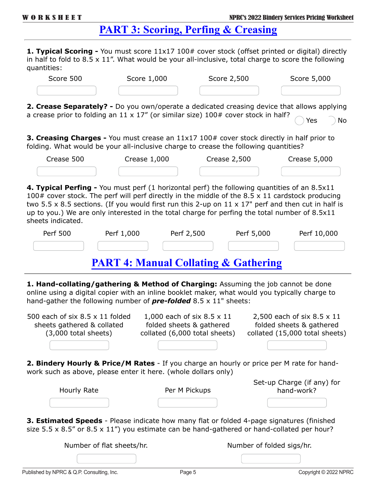### **PART 3: Scoring, Perfing & Creasing**

**1. Typical Scoring -** You must score 11x17 100# cover stock (offset printed or digital) directly in half to fold to 8.5 x 11". What would be your all-inclusive, total charge to score the following quantities:

| Score 500  | Score 1,000    | Score 2,500                                                                                                                                                                                | Score 5,000      |
|------------|----------------|--------------------------------------------------------------------------------------------------------------------------------------------------------------------------------------------|------------------|
|            |                | 2. Crease Separately? - Do you own/operate a dedicated creasing device that allows applying<br>a crease prior to folding an $11 \times 17$ " (or similar size) $100#$ cover stock in half? | Yes<br><b>No</b> |
|            |                | <b>3. Creasing Charges -</b> You must crease an 11x17 100# cover stock directly in half prior to<br>folding. What would be your all-inclusive charge to crease the following quantities?   |                  |
| Crease 500 | Crease $1,000$ | Crease 2,500                                                                                                                                                                               | Crease 5,000     |

**4. Typical Perfing -** You must perf (1 horizontal perf) the following quantities of an 8.5x11 100# cover stock. The perf will perf directly in the middle of the 8.5  $\times$  11 cardstock producing two 5.5 x 8.5 sections. (If you would first run this 2-up on  $11 \times 17$ " perf and then cut in half is up to you.) We are only interested in the total charge for perfing the total number of 8.5x11 sheets indicated.

| Perf 500 | Perf 1,000 | Perf 2,500 | Perf 5,000 | Perf 10,000 |
|----------|------------|------------|------------|-------------|
|          |            |            |            |             |

### **PART 4: Manual Collating & Gathering**

**1. Hand-collating/gathering & Method of Charging:** Assuming the job cannot be done online using a digital copier with an inline booklet maker, what would you typically charge to hand-gather the following number of *pre-folded* 8.5 x 11" sheets:

| 500 each of six $8.5 \times 11$ folded<br>sheets gathered & collated<br>$(3,000$ total sheets)                                                                                                                 | 1,000 each of six 8.5 x 11<br>folded sheets & gathered<br>collated (6,000 total sheets) | 2,500 each of six 8.5 x 11<br>folded sheets & gathered<br>collated (15,000 total sheets) |
|----------------------------------------------------------------------------------------------------------------------------------------------------------------------------------------------------------------|-----------------------------------------------------------------------------------------|------------------------------------------------------------------------------------------|
|                                                                                                                                                                                                                |                                                                                         |                                                                                          |
| <b>2. Bindery Hourly &amp; Price/M Rates</b> - If you charge an hourly or price per M rate for hand-<br>work such as above, please enter it here. (whole dollars only)                                         |                                                                                         |                                                                                          |
| Hourly Rate                                                                                                                                                                                                    | Per M Pickups                                                                           | Set-up Charge (if any) for<br>hand-work?                                                 |
|                                                                                                                                                                                                                |                                                                                         |                                                                                          |
| <b>3. Estimated Speeds</b> - Please indicate how many flat or folded 4-page signatures (finished<br>size $5.5 \times 8.5$ " or $8.5 \times 11$ ") you estimate can be hand-gathered or hand-collated per hour? |                                                                                         |                                                                                          |
| Number of flat sheets/hr.                                                                                                                                                                                      |                                                                                         | Number of folded sigs/hr.                                                                |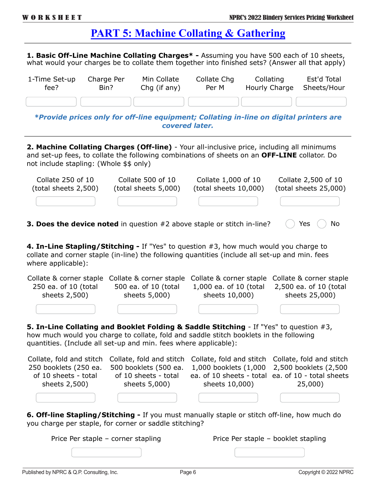**1. Basic Off-Line Machine Collating Charges\* -** Assuming you have 500 each of 10 sheets, what would your charges be to collate them together into finished sets? (Answer all that apply)

| 1-Time Set-up | Charge Per | Min Collate  | Collate Chg | Collating                                                                              | Est'd Total |
|---------------|------------|--------------|-------------|----------------------------------------------------------------------------------------|-------------|
| fee?          | Bin?       | Chg (if any) | Per M       | Hourly Charge                                                                          | Sheets/Hour |
|               |            |              |             | *Drovido nricos only for off-line equipment: Collating in-line on digital nrinters are |             |

*\*Provide prices only for off-line equipment; Collating in-line on digital printers are covered later.*

**2. Machine Collating Charges (Off-line)** - Your all-inclusive price, including all minimums and set-up fees, to collate the following combinations of sheets on an **OFF-LINE** collator. Do not include stapling: (Whole \$\$ only)

| Collate 250 of 10    | Collate 500 of 10    | Collate 1,000 of 10   | Collate 2,500 of 10   |
|----------------------|----------------------|-----------------------|-----------------------|
| (total sheets 2,500) | (total sheets 5,000) | (total sheets 10,000) | (total sheets 25,000) |
|                      |                      |                       |                       |

**3. Does the device noted** in question #2 above staple or stitch in-line? ( ) Yes ( ) No

**4. In-Line Stapling/Stitching -** If "Yes" to question #3, how much would you charge to collate and corner staple (in-line) the following quantities (include all set-up and min. fees where applicable):

| Collate & corner staple                                          | Collate & corner staple  | Collate & corner staple                                                                                                                                                          | Collate & corner staple  |
|------------------------------------------------------------------|--------------------------|----------------------------------------------------------------------------------------------------------------------------------------------------------------------------------|--------------------------|
| 250 ea. of 10 (total                                             | 500 ea. of 10 (total     | 1,000 ea. of 10 (total                                                                                                                                                           | 2,500 ea. of 10 (total   |
| sheets 2,500)                                                    | sheets 5,000)            | sheets 10,000)                                                                                                                                                                   | sheets 25,000)           |
|                                                                  |                          |                                                                                                                                                                                  |                          |
| quantities. (Include all set-up and min. fees where applicable): |                          | 5. In-Line Collating and Booklet Folding & Saddle Stitching - If "Yes" to question #3,<br>how much would you charge to collate, fold and saddle stitch booklets in the following |                          |
| Collate, fold and stitch                                         | Collate, fold and stitch | Collate, fold and stitch                                                                                                                                                         | Collate, fold and stitch |
| 250 booklets (250 ea.                                            | 500 booklets (500 ea.    | 1,000 booklets (1,000                                                                                                                                                            | 2,500 booklets (2,500    |
| of 10 sheets - total                                             | of 10 sheets - total     | ea. of 10 sheets - total                                                                                                                                                         | ea. of 10 - total sheets |
| sheets 2,500)                                                    | sheets 5,000)            | sheets 10,000)                                                                                                                                                                   | 25,000)                  |

**6. Off-line Stapling/Stitching -** If you must manually staple or stitch off-line, how much do you charge per staple, for corner or saddle stitching?

| Price Per staple – corner stapling | Price Per staple - booklet stapling |
|------------------------------------|-------------------------------------|
|                                    |                                     |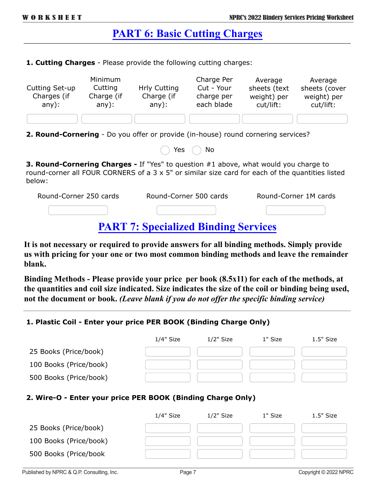### **PART 6: Basic Cutting Charges**

**1. Cutting Charges** - Please provide the following cutting charges:

| Cutting Set-up<br>Charges (if<br>any):                                            | Minimum<br>Cutting<br>Charge (if<br>any): | <b>Hrly Cutting</b><br>Charge (if<br>any): | Charge Per<br>Cut - Your<br>charge per<br>each blade | Average<br>sheets (text<br>weight) per<br>cut/lift: | Average<br>sheets (cover<br>weight) per<br>cut/lift: |
|-----------------------------------------------------------------------------------|-------------------------------------------|--------------------------------------------|------------------------------------------------------|-----------------------------------------------------|------------------------------------------------------|
|                                                                                   |                                           |                                            |                                                      |                                                     |                                                      |
| 2. Round-Cornering - Do you offer or provide (in-house) round cornering services? |                                           |                                            |                                                      |                                                     |                                                      |

| Yes | No |
|-----|----|
|     |    |

**3. Round-Cornering Charges -** If "Yes" to question #1 above, what would you charge to round-corner all FOUR CORNERS of a 3 x 5" or similar size card for each of the quantities listed below:

| Round-Corner 250 cards                                        | Round-Corner 500 cards | Round-Corner 1M cards |
|---------------------------------------------------------------|------------------------|-----------------------|
|                                                               |                        |                       |
| $\blacksquare$ . $\blacksquare$ $\blacksquare$ $\blacksquare$ | <u>a se a sua se</u>   |                       |

### **PART 7: Specialized Binding Services**

**It is not necessary or required to provide answers for all binding methods. Simply provide us with pricing for your one or two most common binding methods and leave the remainder blank.**

**Binding Methods - Please provide your price per book (8.5x11) for each of the methods, at the quantities and coil size indicated. Size indicates the size of the coil or binding being used, not the document or book.** *(Leave blank if you do not offer the specific binding service)*

#### **1. Plastic Coil - Enter your price PER BOOK (Binding Charge Only)**

|                        | 1/4" Size | $1/2"$ Size | 1" Size | $1.5"$ Size |
|------------------------|-----------|-------------|---------|-------------|
| 25 Books (Price/book)  |           |             |         |             |
| 100 Books (Price/book) |           |             |         |             |
| 500 Books (Price/book) |           |             |         |             |

#### **2. Wire-O - Enter your price PER BOOK (Binding Charge Only)**

|                        | 1/4" Size | $1/2"$ Size | 1" Size | $1.5"$ Size |
|------------------------|-----------|-------------|---------|-------------|
| 25 Books (Price/book)  |           |             |         |             |
| 100 Books (Price/book) |           |             |         |             |
| 500 Books (Price/book  |           |             |         |             |
|                        |           |             |         |             |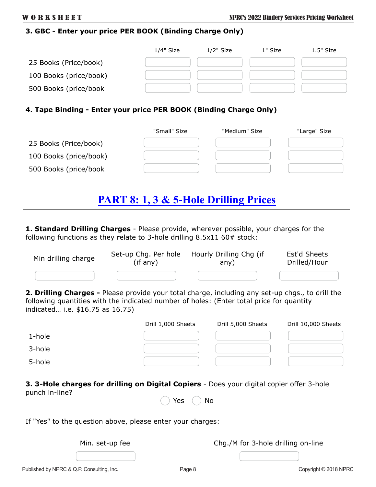#### **3. GBC - Enter your price PER BOOK (Binding Charge Only)**

|                        | 1/4" Size | $1/2"$ Size | 1" Size | $1.5"$ Size |
|------------------------|-----------|-------------|---------|-------------|
| 25 Books (Price/book)  |           |             |         |             |
| 100 Books (price/book) |           |             |         |             |
| 500 Books (price/book  |           |             |         |             |

#### **4. Tape Binding - Enter your price PER BOOK (Binding Charge Only)**

|                        | "Small" Size | "Medium" Size | "Large" Size |
|------------------------|--------------|---------------|--------------|
| 25 Books (Price/book)  |              |               |              |
| 100 Books (price/book) |              |               |              |
| 500 Books (price/book  |              |               |              |

### **PART 8: 1, 3 & 5-Hole Drilling Prices**

**1. Standard Drilling Charges** - Please provide, wherever possible, your charges for the following functions as they relate to 3-hole drilling  $8.5x11\,60\,\text{*}$  stock:

| Min drilling charge | Set-up Chg. Per hole | Hourly Drilling Chg (if | Est'd Sheets |
|---------------------|----------------------|-------------------------|--------------|
|                     | (if any)             | any)                    | Drilled/Hour |
|                     |                      |                         |              |

**2. Drilling Charges -** Please provide your total charge, including any set-up chgs., to drill the following quantities with the indicated number of holes: (Enter total price for quantity indicated… i.e. \$16.75 as 16.75)

|        | Drill 1,000 Sheets | Drill 5,000 Sheets | Drill 10,000 Sheets |
|--------|--------------------|--------------------|---------------------|
| 1-hole |                    |                    |                     |
| 3-hole |                    |                    |                     |
| 5-hole |                    |                    |                     |

**3. 3-Hole charges for drilling on Digital Copiers** - Does your digital copier offer 3-hole punch in-line?

Yes  $( )$  No

If "Yes" to the question above, please enter your charges:

Min. set-up fee Chg./M for 3-hole drilling on-line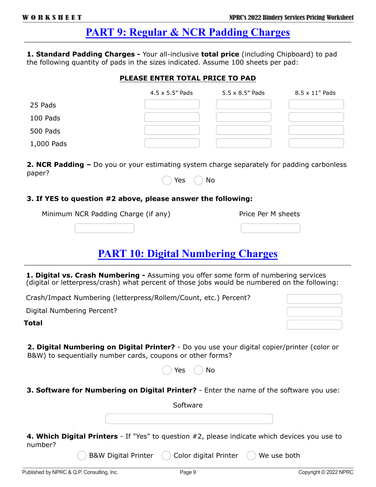### **PART 9: Regular & NCR Padding Charges**

**1. Standard Padding Charges -** Your all-inclusive **total price** (including Chipboard) to pad the following quantity of pads in the sizes indicated. Assume 100 sheets per pad:

#### **PLEASE ENTER TOTAL PRICE TO PAD**

|            | 4.5 x 5.5" Pads | $5.5 \times 8.5$ " Pads | 8.5 x 11" Pads |
|------------|-----------------|-------------------------|----------------|
| 25 Pads    |                 |                         |                |
| 100 Pads   |                 |                         |                |
| 500 Pads   |                 |                         |                |
| 1,000 Pads |                 |                         |                |

**2. NCR Padding –** Do you or your estimating system charge separately for padding carbonless paper? Yes  $( )$  No

#### **3. If YES to question #2 above, please answer the following:**

|  | Minimum NCR Padding Charge (if any) |  |  | Price Per M sheets |
|--|-------------------------------------|--|--|--------------------|
|  |                                     |  |  |                    |

### **PART 10: Digital Numbering Charges**

**1. Digital vs. Crash Numbering -** Assuming you offer some form of numbering services (digital or letterpress/crash) what percent of those jobs would be numbered on the following:

Crash/Impact Numbering (letterpress/Rollem/Count, etc.) Percent?

Digital Numbering Percent?

**Total**

**2. Digital Numbering on Digital Printer?** - Do you use your digital copier/printer (color or B&W) to sequentially number cards, coupons or other forms?

| Yes. | No |
|------|----|
|------|----|

**3. Software for Numbering on Digital Printer?** - Enter the name of the software you use:

Software

**4. Which Digital Printers** - If "Yes" to question #2, please indicate which devices you use to number?

B&W Digital Printer  $\left(\begin{array}{c}\right)$  Color digital Printer  $\left(\begin{array}{c}\right)$  We use both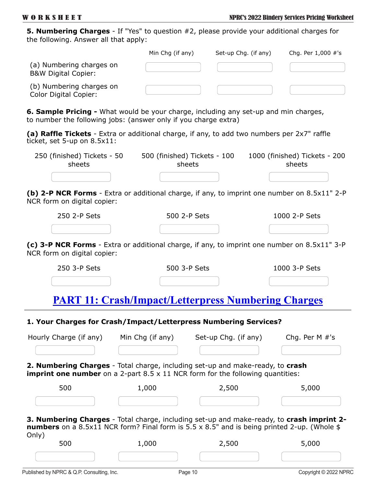**5. Numbering Charges** - If "Yes" to question #2, please provide your additional charges for the following. Answer all that apply:

|                                                            | Min Chg (if any) | Set-up Chg. (if any) | Chg. Per 1,000 #'s |
|------------------------------------------------------------|------------------|----------------------|--------------------|
| (a) Numbering charges on<br><b>B&amp;W Digital Copier:</b> |                  |                      |                    |
| (b) Numbering charges on<br>Color Digital Copier:          |                  |                      |                    |

**6. Sample Pricing -** What would be your charge, including any set-up and min charges, to number the following jobs: (answer only if you charge extra)

**(a) Raffle Tickets** - Extra or additional charge, if any, to add two numbers per 2x7" raffle ticket, set 5-up on 8.5x11:

| 250 (finished) Tickets - 50 | 500 (finished) Tickets - 100 | 1000 (finished) Tickets - 200 |  |  |
|-----------------------------|------------------------------|-------------------------------|--|--|
| sheets                      | sheets                       | sheets                        |  |  |
|                             |                              |                               |  |  |

**(b) 2-P NCR Forms** - Extra or additional charge, if any, to imprint one number on 8.5x11" 2-P NCR form on digital copier:

| 250 2-P Sets | 500 2-P Sets | 1000 2-P Sets |
|--------------|--------------|---------------|
|              |              |               |

**(c) 3-P NCR Forms** - Extra or additional charge, if any, to imprint one number on 8.5x11" 3-P NCR form on digital copier:

| 250 3-P Sets | 500 3-P Sets                                               | 1000 3-P Sets |
|--------------|------------------------------------------------------------|---------------|
|              |                                                            |               |
|              | <b>PART 11: Crash/Impact/Letterpress Numbering Charges</b> |               |

#### **1. Your Charges for Crash/Impact/Letterpress Numbering Services?**

| Hourly Charge (if any) | Min Chg (if any) | Set-up Chg. (if any)                                                                                                                                                                            | Chg. Per $M \#$ 's |
|------------------------|------------------|-------------------------------------------------------------------------------------------------------------------------------------------------------------------------------------------------|--------------------|
|                        |                  |                                                                                                                                                                                                 |                    |
|                        |                  | <b>2. Numbering Charges</b> - Total charge, including set-up and make-ready, to <b>crash</b><br><b>imprint one number</b> on a 2-part $8.5 \times 11$ NCR form for the following quantities:    |                    |
| 500                    | 1,000            | 2,500                                                                                                                                                                                           | 5,000              |
|                        |                  |                                                                                                                                                                                                 |                    |
| Only)                  |                  | 3. Numbering Charges - Total charge, including set-up and make-ready, to crash imprint 2-<br><b>numbers</b> on a 8.5x11 NCR form? Final form is 5.5 x 8.5" and is being printed 2-up. (Whole \$ |                    |
| 500                    | 1,000            | 2,500                                                                                                                                                                                           | 5,000              |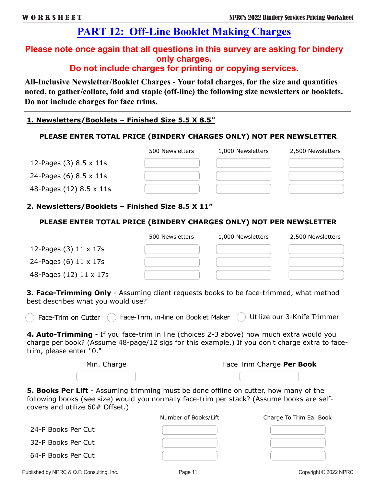### **PART 12: Off-Line Booklet Making Charges**

### **Please note once again that all questions in this survey are asking for bindery only charges.**

### **Do not include charges for printing or copying services.**

**All-Inclusive Newsletter/Booklet Charges - Your total charges, for the size and quantities noted, to gather/collate, fold and staple (off-line) the following size newsletters or booklets. Do not include charges for face trims.**

#### **1. Newsletters/Booklets – Finished Size 5.5 X 8.5"**

#### **PLEASE ENTER TOTAL PRICE (BINDERY CHARGES ONLY) NOT PER NEWSLETTER**

|                          | 500 Newsletters | 1,000 Newsletters | 2,500 Newsletters |
|--------------------------|-----------------|-------------------|-------------------|
| 12-Pages $(3)$ 8.5 x 11s |                 |                   |                   |
| 24-Pages (6) 8.5 x 11s   |                 |                   |                   |
| 48-Pages (12) 8.5 x 11s  |                 |                   |                   |

#### **2. Newsletters/Booklets – Finished Size 8.5 X 11"**

#### **PLEASE ENTER TOTAL PRICE (BINDERY CHARGES ONLY) NOT PER NEWSLETTER**

|                         | 500 Newsletters | 1,000 Newsletters | 2,500 Newsletters |
|-------------------------|-----------------|-------------------|-------------------|
| 12-Pages $(3)$ 11 x 17s |                 |                   |                   |
| 24-Pages (6) 11 x 17s   |                 |                   |                   |
| 48-Pages (12) 11 x 17s  |                 |                   |                   |

**3. Face-Trimming Only** - Assuming client requests books to be face-trimmed, what method best describes what you would use?

Face-Trim on Cutter  $\overline{C}$  Face-Trim, in-line on Booklet Maker  $\overline{C}$  Utilize our 3-Knife Trimmer

**4. Auto-Trimming** - If you face-trim in line (choices 2-3 above) how much extra would you charge per book? (Assume 48-page/12 sigs for this example.) If you don't charge extra to facetrim, please enter "0."

|  | Min. Charge |  |
|--|-------------|--|
|  |             |  |

| Min. Charge | Face Trim Charge Per Book |
|-------------|---------------------------|
|-------------|---------------------------|

**5. Books Per Lift** - Assuming trimming must be done offline on cutter, how many of the following books (see size) would you normally face-trim per stack? (Assume books are selfcovers and utilize 60# Offset.)

| Number of Books/Lift | Charge To Trim Ea. Book |
|----------------------|-------------------------|
|                      |                         |
|                      |                         |
|                      |                         |
|                      |                         |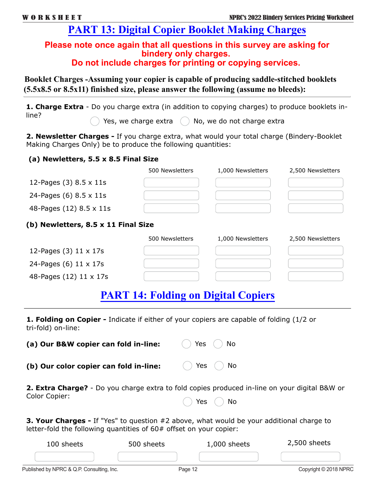### **PART 13: Digital Copier Booklet Making Charges**

#### **Please note once again that all questions in this survey are asking for bindery only charges. Do not include charges for printing or copying services.**

**Booklet Charges -Assuming your copier is capable of producing saddle-stitched booklets (5.5x8.5 or 8.5x11) finished size, please answer the following (assume no bleeds):**

**1. Charge Extra** - Do you charge extra (in addition to copying charges) to produce booklets inline?

Yes, we charge extra  $\left(\begin{array}{c} \end{array}\right)$  No, we do not charge extra

**2. Newsletter Charges -** If you charge extra, what would your total charge (Bindery-Booklet Making Charges Only) be to produce the following quantities:

#### **(a) Newletters, 5.5 x 8.5 Final Size**

|                          | 500 Newsletters | 1,000 Newsletters | 2,500 Newsletters |
|--------------------------|-----------------|-------------------|-------------------|
| 12-Pages (3) 8.5 x 11s   |                 |                   |                   |
| 24-Pages $(6)$ 8.5 x 11s |                 |                   |                   |
| 48-Pages (12) 8.5 x 11s  |                 |                   |                   |
|                          |                 |                   |                   |

#### **(b) Newletters, 8.5 x 11 Final Size**

|                               | 500 Newsletters | 1,000 Newsletters | 2,500 Newsletters |
|-------------------------------|-----------------|-------------------|-------------------|
| 12-Pages $(3)$ 11 x 17s       |                 |                   |                   |
| 24-Pages (6) $11 \times 17$ s |                 |                   |                   |
| 48-Pages (12) 11 x 17s        |                 |                   |                   |

### **PART 14: Folding on Digital Copiers**

**1. Folding on Copier -** Indicate if either of your copiers are capable of folding (1/2 or tri-fold) on-line:

| (a) Our B&W copier can fold in-line:   | Yes<br><b>No</b>                                                                                                   |
|----------------------------------------|--------------------------------------------------------------------------------------------------------------------|
| (b) Our color copier can fold in-line: | Yes ( )<br>- No                                                                                                    |
| Color Copier:                          | <b>2. Extra Charge?</b> - Do you charge extra to fold copies produced in-line on your digital B&W or<br>Yes ( ) No |
|                                        | <b>3. Your Charges -</b> If "Yes" to question #2 above, what would be your additional charge to                    |

**3. Your Charges -** If "Yes" to question #2 above, what would be your additional charge to letter-fold the following quantities of 60# offset on your copier:

| 100 sheets | 500 sheets                              | $1,000$ sheets | $2,500$ sheets |
|------------|-----------------------------------------|----------------|----------------|
|            |                                         |                |                |
| .          | the property of the control of the con- |                | .<br>__        |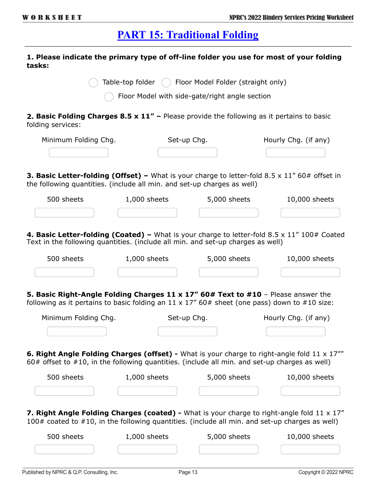### **PART 15: Traditional Folding**

#### **1. Please indicate the primary type of off-line folder you use for most of your folding tasks:**

Table-top folder  $\bigcap$  Floor Model Folder (straight only)

Floor Model with side-gate/right angle section

**2. Basic Folding Charges 8.5 x 11" –** Please provide the following as it pertains to basic folding services:

| Minimum Folding Chg. | Set-up Chg. | Hourly Chg. (if any) |  |
|----------------------|-------------|----------------------|--|
|                      |             |                      |  |

**3. Basic Letter-folding (Offset) –** What is your charge to letter-fold 8.5 x 11" 60# offset in the following quantities. (include all min. and set-up charges as well)

| 500 sheets | 1,000 sheets | 5,000 sheets | 10,000 sheets |
|------------|--------------|--------------|---------------|
|            |              |              |               |

4. Basic Letter-folding (Coated) – What is your charge to letter-fold 8.5 x 11" 100# Coated Text in the following quantities. (include all min. and set-up charges as well)

| 500 sheets                                                                                                                                                                                                        | 1,000 sheets   | 5,000 sheets | 10,000 sheets                                                                                                       |
|-------------------------------------------------------------------------------------------------------------------------------------------------------------------------------------------------------------------|----------------|--------------|---------------------------------------------------------------------------------------------------------------------|
|                                                                                                                                                                                                                   |                |              |                                                                                                                     |
| 5. Basic Right-Angle Folding Charges 11 x 17" 60# Text to #10 - Please answer the<br>following as it pertains to basic folding an $11 \times 17''$ 60# sheet (one pass) down to #10 size:                         |                |              |                                                                                                                     |
| Minimum Folding Chg.                                                                                                                                                                                              |                | Set-up Chg.  | Hourly Chg. (if any)                                                                                                |
|                                                                                                                                                                                                                   |                |              |                                                                                                                     |
| 60# offset to $#10$ , in the following quantities. (include all min. and set-up charges as well)<br>500 sheets and the state of the state of the state of the state of the state of the state of the state of the | $1,000$ sheets | 5,000 sheets | <b>6. Right Angle Folding Charges (offset)</b> - What is your charge to right-angle fold 11 x 17""<br>10,000 sheets |
|                                                                                                                                                                                                                   |                |              |                                                                                                                     |
| $100#$ coated to $#10$ , in the following quantities. (include all min. and set-up charges as well)                                                                                                               |                |              | <b>7. Right Angle Folding Charges (coated)</b> - What is your charge to right-angle fold $11 \times 17$ "           |
| 500 sheets                                                                                                                                                                                                        | $1,000$ sheets | 5,000 sheets | 10,000 sheets                                                                                                       |
|                                                                                                                                                                                                                   |                |              |                                                                                                                     |